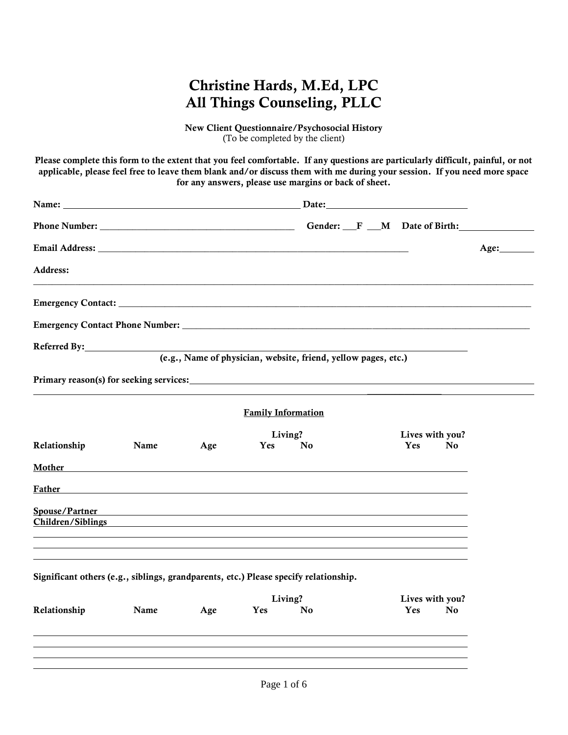New Client Questionnaire/Psychosocial History (To be completed by the client)

Please complete this form to the extent that you feel comfortable. If any questions are particularly difficult, painful, or not applicable, please feel free to leave them blank and/or discuss them with me during your session. If you need more space for any answers, please use margins or back of sheet.

| Name: Name and the set of the set of the set of the set of the set of the set of the set of the set of the set of the set of the set of the set of the set of the set of the set of the set of the set of the set of the set o |      |     |                           |                                                                |                        |    |      |
|--------------------------------------------------------------------------------------------------------------------------------------------------------------------------------------------------------------------------------|------|-----|---------------------------|----------------------------------------------------------------|------------------------|----|------|
|                                                                                                                                                                                                                                |      |     |                           |                                                                |                        |    |      |
|                                                                                                                                                                                                                                |      |     |                           |                                                                |                        |    | Age: |
| Address:                                                                                                                                                                                                                       |      |     |                           |                                                                |                        |    |      |
|                                                                                                                                                                                                                                |      |     |                           |                                                                |                        |    |      |
|                                                                                                                                                                                                                                |      |     |                           |                                                                |                        |    |      |
| Referred By: North Communications of the Communications of the Communications of the Communications of the Communications of the Communications of the Communications of the Communications of the Communications of the Commu |      |     |                           | (e.g., Name of physician, website, friend, yellow pages, etc.) |                        |    |      |
|                                                                                                                                                                                                                                |      |     |                           |                                                                |                        |    |      |
|                                                                                                                                                                                                                                |      |     | <b>Family Information</b> |                                                                |                        |    |      |
| Relationship                                                                                                                                                                                                                   | Name | Age | Yes                       | Living?<br>N <sub>0</sub>                                      | Lives with you?<br>Yes | No |      |
| Mother Mother and the contract of the contract of the contract of the contract of the contract of the contract of the contract of the contract of the contract of the contract of the contract of the contract of the contract |      |     |                           |                                                                |                        |    |      |
| Father                                                                                                                                                                                                                         |      |     |                           |                                                                |                        |    |      |
| Spouse/Partner<br>Children/Siblings                                                                                                                                                                                            |      |     |                           |                                                                |                        |    |      |
| Significant others (e.g., siblings, grandparents, etc.) Please specify relationship.                                                                                                                                           |      |     |                           |                                                                |                        |    |      |
|                                                                                                                                                                                                                                |      |     |                           | Living?                                                        | Lives with you?        |    |      |
| Relationship                                                                                                                                                                                                                   | Name | Age | Yes                       | No                                                             | Yes                    | No |      |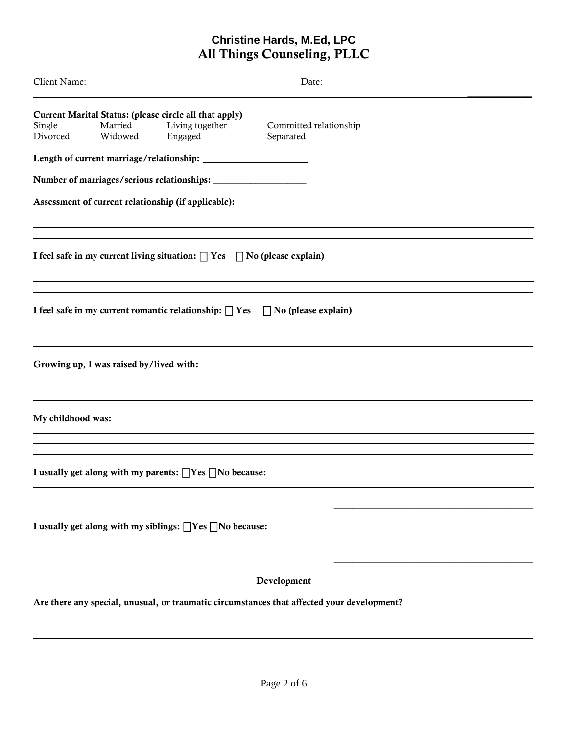| Single<br>Divorced | Married<br>Widowed                      | <b>Current Marital Status: (please circle all that apply)</b><br>Living together<br>Engaged | Committed relationship<br>Separated                                                        |  |
|--------------------|-----------------------------------------|---------------------------------------------------------------------------------------------|--------------------------------------------------------------------------------------------|--|
|                    |                                         |                                                                                             |                                                                                            |  |
|                    |                                         |                                                                                             |                                                                                            |  |
|                    |                                         | Assessment of current relationship (if applicable):                                         |                                                                                            |  |
|                    |                                         | I feel safe in my current living situation: $\Box$ Yes $\Box$ No (please explain)           | ,我们也不会有什么。""我们的人,我们也不会有什么?""我们的人,我们也不会有什么?""我们的人,我们也不会有什么?""我们的人,我们也不会有什么?""我们的人           |  |
|                    |                                         |                                                                                             | I feel safe in my current romantic relationship: $\Box$ Yes $\Box$ No (please explain)     |  |
|                    |                                         |                                                                                             |                                                                                            |  |
|                    | Growing up, I was raised by/lived with: |                                                                                             |                                                                                            |  |
|                    |                                         |                                                                                             |                                                                                            |  |
| My childhood was:  |                                         |                                                                                             |                                                                                            |  |
|                    |                                         |                                                                                             |                                                                                            |  |
|                    |                                         | I usually get along with my parents: TYes TNo because:                                      |                                                                                            |  |
|                    |                                         |                                                                                             |                                                                                            |  |
|                    |                                         | I usually get along with my siblings: [] Yes [] No because:                                 |                                                                                            |  |
|                    |                                         |                                                                                             |                                                                                            |  |
|                    |                                         |                                                                                             | Development                                                                                |  |
|                    |                                         |                                                                                             | Are there any special, unusual, or traumatic circumstances that affected your development? |  |

 $\frac{1}{2}$  ,  $\frac{1}{2}$  ,  $\frac{1}{2}$  ,  $\frac{1}{2}$  ,  $\frac{1}{2}$  ,  $\frac{1}{2}$  ,  $\frac{1}{2}$  ,  $\frac{1}{2}$  ,  $\frac{1}{2}$  ,  $\frac{1}{2}$  ,  $\frac{1}{2}$  ,  $\frac{1}{2}$  ,  $\frac{1}{2}$  ,  $\frac{1}{2}$  ,  $\frac{1}{2}$  ,  $\frac{1}{2}$  ,  $\frac{1}{2}$  ,  $\frac{1}{2}$  ,  $\frac{1$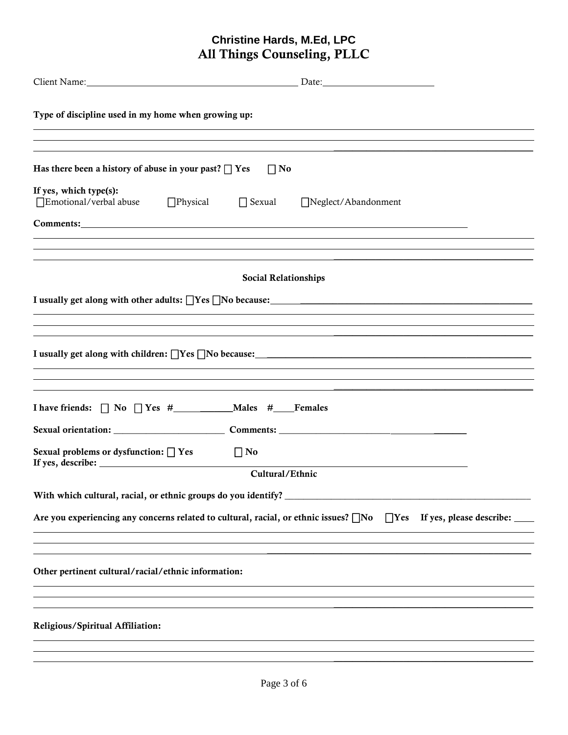| Client Name: Date: Date: Date: Date: Date: Date: Date: Date: Date: Date: Date: Date: Date: Date: Date: Date: Date: Date: Date: Date: Date: Date: Date: Date: Date: Date: Date: Date: Date: Date: Date: Date: Date: Date: Date: |                             |            |                          |
|--------------------------------------------------------------------------------------------------------------------------------------------------------------------------------------------------------------------------------|-----------------------------|------------|--------------------------|
| Type of discipline used in my home when growing up:                                                                                                                                                                            |                             |            |                          |
|                                                                                                                                                                                                                                |                             |            |                          |
| Has there been a history of abuse in your past? $\Box$ Yes                                                                                                                                                                     | $\prod$ No                  |            |                          |
| If yes, which type(s):<br>□Emotional/verbal abuse □Physical □ Sexual □Neglect/Abandonment                                                                                                                                      |                             |            |                          |
| <b>Comments:</b> comments:                                                                                                                                                                                                     |                             |            |                          |
|                                                                                                                                                                                                                                |                             |            |                          |
|                                                                                                                                                                                                                                | <b>Social Relationships</b> |            |                          |
|                                                                                                                                                                                                                                |                             |            |                          |
|                                                                                                                                                                                                                                |                             |            |                          |
|                                                                                                                                                                                                                                |                             |            |                          |
|                                                                                                                                                                                                                                |                             |            |                          |
|                                                                                                                                                                                                                                |                             |            |                          |
|                                                                                                                                                                                                                                |                             |            |                          |
|                                                                                                                                                                                                                                |                             |            |                          |
| Sexual problems or dysfunction: $\Box$ Yes<br>If yes, describe:                                                                                                                                                                | $\Box$ No                   |            |                          |
|                                                                                                                                                                                                                                | Cultural/Ethnic             |            |                          |
| With which cultural, racial, or ethnic groups do you identify?                                                                                                                                                                 |                             |            |                          |
| Are you experiencing any concerns related to cultural, racial, or ethnic issues? No                                                                                                                                            |                             | $\Box$ Yes | If yes, please describe: |
|                                                                                                                                                                                                                                |                             |            |                          |
| Other pertinent cultural/racial/ethnic information:                                                                                                                                                                            |                             |            |                          |
|                                                                                                                                                                                                                                |                             |            |                          |
| Religious/Spiritual Affiliation:                                                                                                                                                                                               |                             |            |                          |
|                                                                                                                                                                                                                                |                             |            |                          |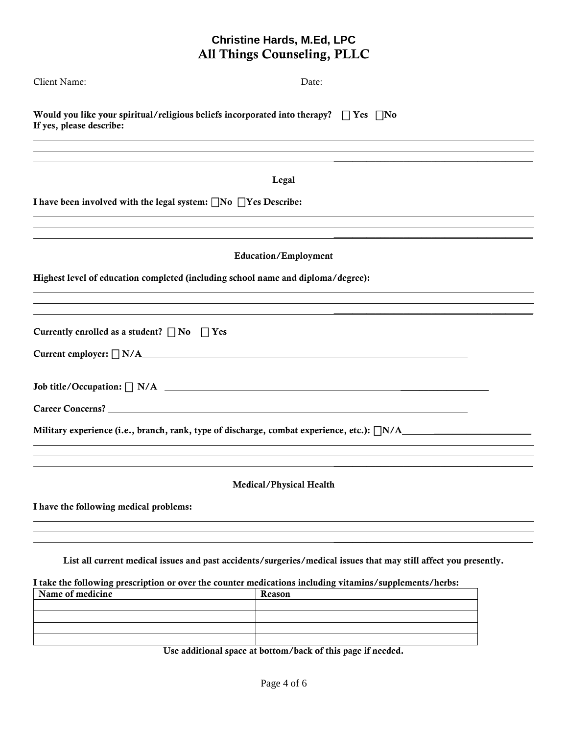| Client Name: Name and Solid Client Name and Solid Client Name and Solid Client Name and Solid Client Name and Solid Client Control Client Control Client Control Client Control Client Control Client Control Client Control C<br>Date: 2008 |  |
|----------------------------------------------------------------------------------------------------------------------------------------------------------------------------------------------------------------------------------------------|--|
| Would you like your spiritual/religious beliefs incorporated into therapy? $\Box$ Yes $\Box$ No<br>If yes, please describe:                                                                                                                  |  |
| Legal                                                                                                                                                                                                                                        |  |
| I have been involved with the legal system: $\Box$ No $\Box$ Yes Describe:                                                                                                                                                                   |  |
| <b>Education/Employment</b>                                                                                                                                                                                                                  |  |
| Highest level of education completed (including school name and diploma/degree):                                                                                                                                                             |  |
| Currently enrolled as a student? $\Box$ No $\Box$ Yes                                                                                                                                                                                        |  |
| $Current \text{ employer: } \square N/A$                                                                                                                                                                                                     |  |
|                                                                                                                                                                                                                                              |  |
|                                                                                                                                                                                                                                              |  |
| Military experience (i.e., branch, rank, type of discharge, combat experience, etc.): $\Box N/A$                                                                                                                                             |  |
| Medical/Physical Health                                                                                                                                                                                                                      |  |
| I have the following medical problems:                                                                                                                                                                                                       |  |
|                                                                                                                                                                                                                                              |  |
| List all current medical issues and past accidents/surgeries/medical issues that may still affect you presently.                                                                                                                             |  |
| I take the following prescription or over the counter medications including vitamins/supplements/herbs:<br>Name of medicine<br>Reason                                                                                                        |  |

Use additional space at bottom/back of this page if needed.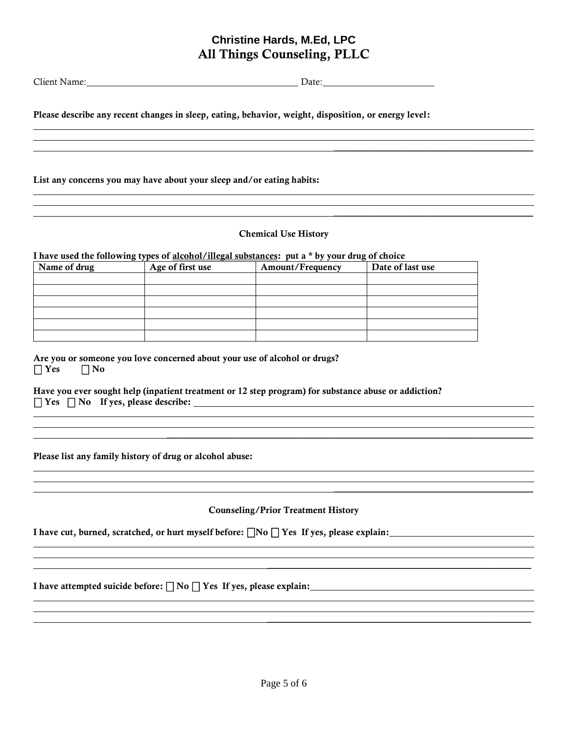Client Name: Date: Date:

 $\overline{\phantom{a}}$  , where  $\overline{\phantom{a}}$  , where  $\overline{\phantom{a}}$  ,  $\overline{\phantom{a}}$  ,  $\overline{\phantom{a}}$  ,  $\overline{\phantom{a}}$  ,  $\overline{\phantom{a}}$  ,  $\overline{\phantom{a}}$  ,  $\overline{\phantom{a}}$  ,  $\overline{\phantom{a}}$  ,  $\overline{\phantom{a}}$  ,  $\overline{\phantom{a}}$  ,  $\overline{\phantom{a}}$  ,  $\overline{\phantom{a}}$  ,  $\overline{\phantom{a}}$  ,

 $\overline{\phantom{a}}$  , where  $\overline{\phantom{a}}$  , where  $\overline{\phantom{a}}$  ,  $\overline{\phantom{a}}$  ,  $\overline{\phantom{a}}$  ,  $\overline{\phantom{a}}$  ,  $\overline{\phantom{a}}$  ,  $\overline{\phantom{a}}$  ,  $\overline{\phantom{a}}$  ,  $\overline{\phantom{a}}$  ,  $\overline{\phantom{a}}$  ,  $\overline{\phantom{a}}$  ,  $\overline{\phantom{a}}$  ,  $\overline{\phantom{a}}$  ,  $\overline{\phantom{a}}$  ,

 $\mathcal{L}_\text{max} = \frac{1}{2} \sum_{i=1}^n \mathcal{L}_\text{max}(\mathbf{z}_i - \mathbf{z}_i)$ 

 $\mathcal{L}_\text{max} = \mathcal{L}_\text{max} = \mathcal{L}_\text{max} = \mathcal{L}_\text{max} = \mathcal{L}_\text{max} = \mathcal{L}_\text{max} = \mathcal{L}_\text{max} = \mathcal{L}_\text{max} = \mathcal{L}_\text{max} = \mathcal{L}_\text{max} = \mathcal{L}_\text{max} = \mathcal{L}_\text{max} = \mathcal{L}_\text{max} = \mathcal{L}_\text{max} = \mathcal{L}_\text{max} = \mathcal{L}_\text{max} = \mathcal{L}_\text{max} = \mathcal{L}_\text{max} = \mathcal{$ 

 $\mathcal{L}_\text{max} = \mathcal{L}_\text{max} = \mathcal{L}_\text{max} = \mathcal{L}_\text{max} = \mathcal{L}_\text{max} = \mathcal{L}_\text{max} = \mathcal{L}_\text{max} = \mathcal{L}_\text{max} = \mathcal{L}_\text{max} = \mathcal{L}_\text{max} = \mathcal{L}_\text{max} = \mathcal{L}_\text{max} = \mathcal{L}_\text{max} = \mathcal{L}_\text{max} = \mathcal{L}_\text{max} = \mathcal{L}_\text{max} = \mathcal{L}_\text{max} = \mathcal{L}_\text{max} = \mathcal{$ 

Please describe any recent changes in sleep, eating, behavior, weight, disposition, or energy level:

List any concerns you may have about your sleep and/or eating habits:

#### Chemical Use History

I have used the following types of alcohol/illegal substances: put a \* by your drug of choice

| Name of drug | Age of first use | Amount/Frequency | Date of last use |
|--------------|------------------|------------------|------------------|
|              |                  |                  |                  |
|              |                  |                  |                  |
|              |                  |                  |                  |
|              |                  |                  |                  |
|              |                  |                  |                  |
|              |                  |                  |                  |

Are you or someone you love concerned about your use of alcohol or drugs?  $\Box$  Yes  $\Box$  No

Have you ever sought help (inpatient treatment or 12 step program) for substance abuse or addiction? ⎕ Yes ⎕ No If yes, please describe:

Please list any family history of drug or alcohol abuse:

#### Counseling/Prior Treatment History

<u> 1989 - Johann Stoff, amerikansk politiker (d. 1989)</u>

 $\mathcal{L}_\mathcal{L} = \mathcal{L}_\mathcal{L} = \mathcal{L}_\mathcal{L} = \mathcal{L}_\mathcal{L} = \mathcal{L}_\mathcal{L} = \mathcal{L}_\mathcal{L} = \mathcal{L}_\mathcal{L} = \mathcal{L}_\mathcal{L} = \mathcal{L}_\mathcal{L} = \mathcal{L}_\mathcal{L} = \mathcal{L}_\mathcal{L} = \mathcal{L}_\mathcal{L} = \mathcal{L}_\mathcal{L} = \mathcal{L}_\mathcal{L} = \mathcal{L}_\mathcal{L} = \mathcal{L}_\mathcal{L} = \mathcal{L}_\mathcal{L}$ 

I have cut, burned, scratched, or hurt myself before:  $\Box$ No  $\Box$  Yes If yes, please explain:

I have attempted suicide before:  $\Box$  No  $\Box$  Yes If yes, please explain: